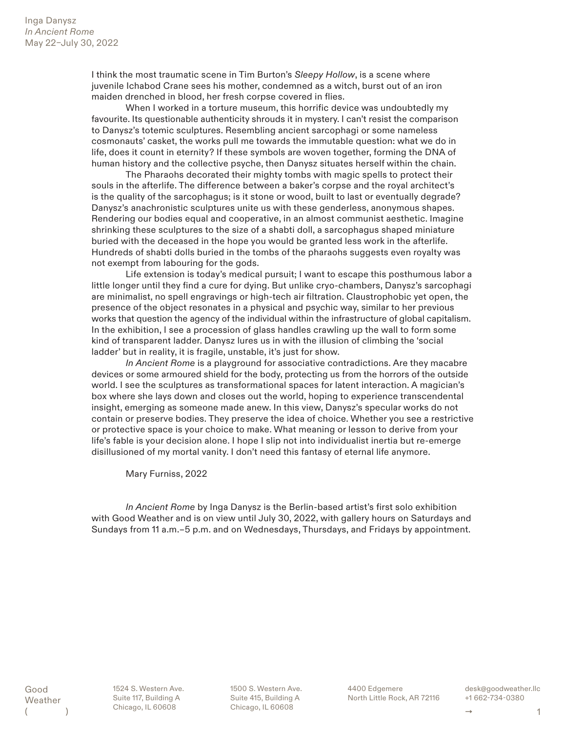I think the most traumatic scene in Tim Burton's *Sleepy Hollow*, is a scene where juvenile Ichabod Crane sees his mother, condemned as a witch, burst out of an iron maiden drenched in blood, her fresh corpse covered in flies.

When I worked in a torture museum, this horrific device was undoubtedly my favourite. Its questionable authenticity shrouds it in mystery. I can't resist the comparison to Danysz's totemic sculptures. Resembling ancient sarcophagi or some nameless cosmonauts' casket, the works pull me towards the immutable question: what we do in life, does it count in eternity? If these symbols are woven together, forming the DNA of human history and the collective psyche, then Danysz situates herself within the chain.

The Pharaohs decorated their mighty tombs with magic spells to protect their souls in the afterlife. The difference between a baker's corpse and the royal architect's is the quality of the sarcophagus; is it stone or wood, built to last or eventually degrade? Danysz's anachronistic sculptures unite us with these genderless, anonymous shapes. Rendering our bodies equal and cooperative, in an almost communist aesthetic. Imagine shrinking these sculptures to the size of a shabti doll, a sarcophagus shaped miniature buried with the deceased in the hope you would be granted less work in the afterlife. Hundreds of shabti dolls buried in the tombs of the pharaohs suggests even royalty was not exempt from labouring for the gods.

Life extension is today's medical pursuit; I want to escape this posthumous labor a little longer until they find a cure for dying. But unlike cryo-chambers, Danysz's sarcophagi are minimalist, no spell engravings or high-tech air filtration. Claustrophobic yet open, the presence of the object resonates in a physical and psychic way, similar to her previous works that question the agency of the individual within the infrastructure of global capitalism. In the exhibition, I see a procession of glass handles crawling up the wall to form some kind of transparent ladder. Danysz lures us in with the illusion of climbing the 'social ladder' but in reality, it is fragile, unstable, it's just for show.

*In Ancient Rome* is a playground for associative contradictions. Are they macabre devices or some armoured shield for the body, protecting us from the horrors of the outside world. I see the sculptures as transformational spaces for latent interaction. A magician's box where she lays down and closes out the world, hoping to experience transcendental insight, emerging as someone made anew. In this view, Danysz's specular works do not contain or preserve bodies. They preserve the idea of choice. Whether you see a restrictive or protective space is your choice to make. What meaning or lesson to derive from your life's fable is your decision alone. I hope I slip not into individualist inertia but re-emerge disillusioned of my mortal vanity. I don't need this fantasy of eternal life anymore.

Mary Furniss, 2022

*In Ancient Rome* by Inga Danysz is the Berlin-based artist's first solo exhibition with Good Weather and is on view until July 30, 2022, with gallery hours on Saturdays and Sundays from 11 a.m.–5 p.m. and on Wednesdays, Thursdays, and Fridays by appointment.

Good Weather  $($  1524 S. Western Ave. Suite 117, Building A Chicago, IL 60608

1500 S. Western Ave. Suite 415, Building A Chicago, IL 60608

4400 Edgemere North Little Rock, AR 72116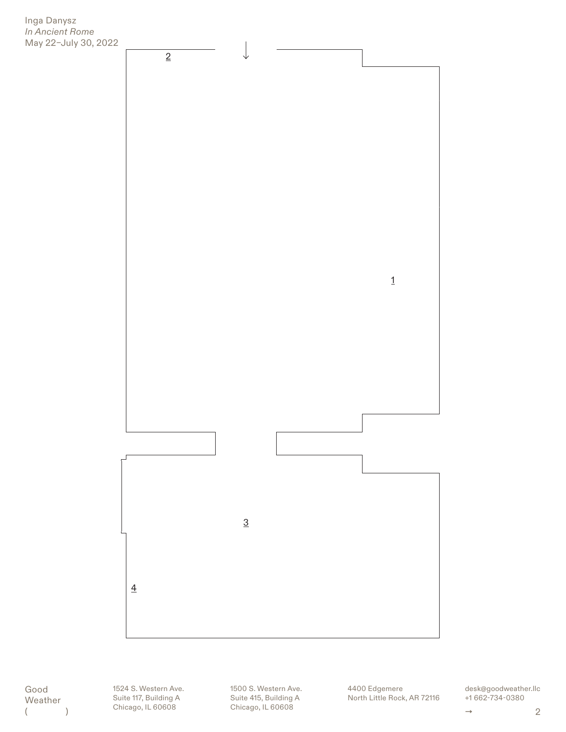



Good Weather  $($   $)$ 

1524 S. Western Ave. Suite 117, Building A Chicago, IL 60608

1500 S. Western Ave. Suite 415, Building A Chicago, IL 60608

4400 Edgemere North Little Rock, AR 72116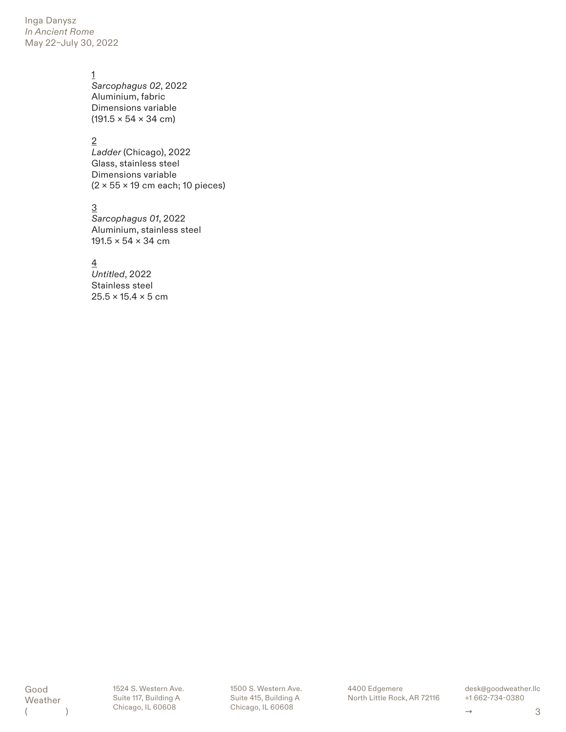Inga Danysz *In Ancient Rome* May 22–July 30, 2022

## 1

*Sarcophagus 02*, 2022 Aluminium, fabric Dimensions variable  $(191.5 \times 54 \times 34 \text{ cm})$ 

2

*Ladder* (Chicago), 2022 Glass, stainless steel Dimensions variable (2 × 55 × 19 cm each; 10 pieces)

3

*Sarcophagus 01*, 2022 Aluminium, stainless steel 191.5  $\times$  54  $\times$  34 cm

4

*Untitled*, 2022 Stainless steel  $25.5 \times 15.4 \times 5$  cm

Good Weather  $($  1524 S. Western Ave. Suite 117, Building A Chicago, IL 60608

1500 S. Western Ave. Suite 415, Building A Chicago, IL 60608

4400 Edgemere North Little Rock, AR 72116